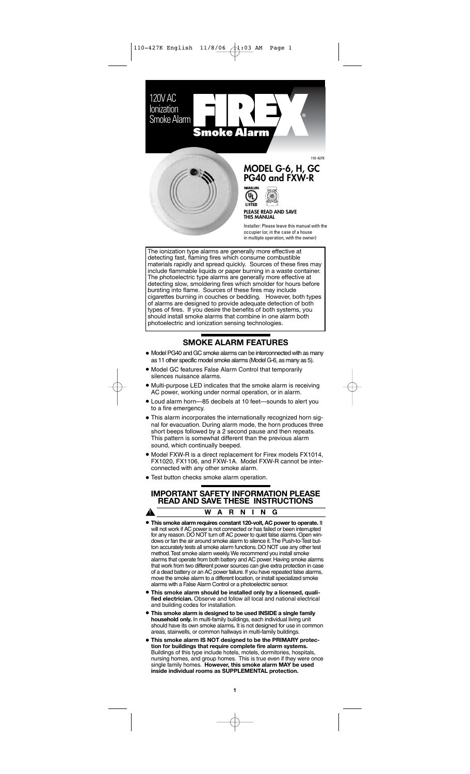

# **PG40 and FXW-R**

 $\mathbf{u}_\text{L}$ LISTED

**PLEASE READ AND SAVE THIS MANUAL <sup>S</sup>TAT<sup>E</sup> <sup>F</sup>IR<sup>E</sup> <sup>M</sup>ARSHA<sup>L</sup>**  $\sim$  $\sim$ 

 $\mathcal{L}_{\text{GED}}$ 

 $\sim$ 

Installer: Please leave this manual with the occupier (or, in the case of a house in multiple operation, with the owner)

The ionization type alarms are generally more effective at detecting fast, flaming fires which consume combustible materials rapidly and spread quickly. Sources of these fires may include flammable liquids or paper burning in a waste container. The photoelectric type alarms are generally more effective at detecting slow, smoldering fires which smolder for hours before bursting into flame. Sources of these fires may include cigarettes burning in couches or bedding. However, both types of alarms are designed to provide adequate detection of both types of fires. If you desire the benefits of both systems, you should install smoke alarms that combine in one alarm both photoelectric and ionization sensing technologies.

# **SMOKE ALARM FEATURES**

- Model PG40 and GC smoke alarms can be interconnected with as many as 11 other specific model smoke alarms (Model G-6, as many as 5).
- Model GC features False Alarm Control that temporarily silences nuisance alarms.
- Multi-purpose LED indicates that the smoke alarm is receiving AC power, working under normal operation, or in alarm.
- Loud alarm horn—85 decibels at 10 feet—sounds to alert you to a fire emergency.
- This alarm incorporates the internationally recognized horn signal for evacuation. During alarm mode, the horn produces three short beeps followed by a 2 second pause and then repeats. This pattern is somewhat different than the previous alarm sound, which continually beeped.
- Model FXW-R is a direct replacement for Firex models FX1014, FX1020, FX1106, and FXW-1A. Model FXW-R cannot be interconnected with any other smoke alarm.
- Test button checks smoke alarm operation.

#### **IMPORTANT SAFETY INFORMATION PLEASE READ AND SAVE THESE INSTRUCTIONS WARNING** Δ.

- **This smoke alarm requires constant 120-volt, AC power to operate.** It will not work if AC power is not connected or has failed or been interrupted for any reason. DO NOT turn off AC power to quiet false alarms. Open windows or fan the air around smoke alarm to silence it.The Push-to-Test button accurately tests all smoke alarm functions. DO NOT use any other test method.Test smoke alarm weekly.We recommend you install smoke alarms that operate from both battery and AC power.Having smoke alarms that work from two different power sources can give extra protection in case of a dead battery or an AC power failure. If you have repeated false alarms, move the smoke alarm to a different location, or install specialized smoke alarms with a False Alarm Control or a photoelectric sensor.
- **This smoke alarm should be installed only by a licensed, quali-fied electrician.** Observe and follow all local and national electrical and building codes for installation.
- **This smoke alarm is designed to be used INSIDE a single family household only.** In multi-family buildings, each individual living unit should have its own smoke alarms**.** It is not designed for use in common areas, stairwells, or common hallways in multi-family buildings.
- **This smoke alarm IS NOT designed to be the PRIMARY protection for buildings that require complete fire alarm systems.** Buildings of this type include hotels, motels, dormitories, hospitals, nursing homes, and group homes. This is true even if they were once nursing homes, and group homes. This is true even if they were o single family homes. **However, this smoke alarm MAY be used inside individual rooms as SUPPLEMENTAL protection.**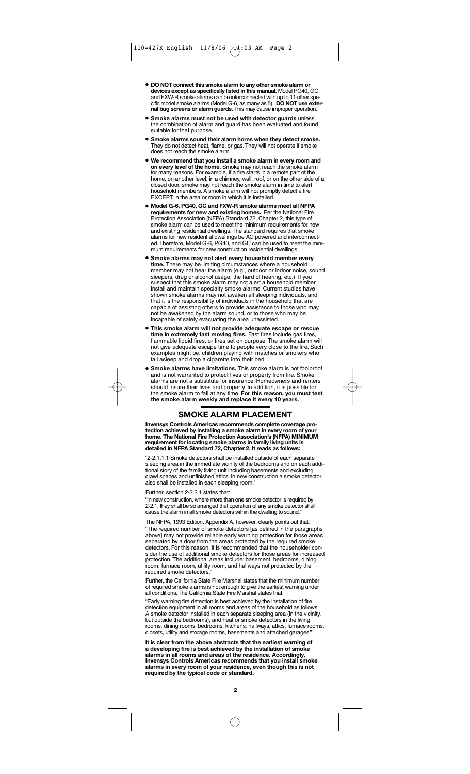- **DO NOT connect this smoke alarm to any other smoke alarm or devices except as specifically listed in this manual.** Model PG40, GC and FXW-R smoke alarms can be interconnected with up to 11 other specific model smoke alarms (Model G-6, as many as 5). **DO NOT use external bug screens or alarm guards.** This may cause improper operation.
- **Smoke alarms must not be used with detector guards** unless the combination of alarm and guard has been evaluated and found suitable for that purpose.
- **Smoke alarms sound their alarm horns when they detect smoke.** They do not detect heat, flame, or gas.They will not operate if smoke does not reach the smoke alarm.
- **We recommend that you install a smoke alarm in every room and on every level of the home.** Smoke may not reach the smoke alarm for many reasons. For example, if a fire starts in a remote part of the home, on another level, in a chimney, wall, roof, or on the other side of a closed door, smoke may not reach the smoke alarm in time to alert household members. A smoke alarm will not promptly detect a fire EXCEPT in the area or room in which it is installed.
- **Model G-6, PG40, GC and FXW-R smoke alarms meet all NFPA requirements for new and existing homes.** Per the National Fire Protection Association (NFPA) Standard 72, Chapter 2, this type of smoke alarm can be used to meet the minimum requirements for new and existing residential dwellings.The standard requires that smoke alarms for new residential dwellings be AC powered and interconnected.Therefore, Model G-6, PG40, and GC can be used to meet the minimum requirements for new construction residential dwellings.
- **Smoke alarms may not alert every household member every time.** There may be limiting circumstances where a household member may not hear the alarm (e.g., outdoor or indoor noise, sound sleepers, drug or alcohol usage, the hard of hearing, etc.). If you suspect that this smoke alarm may not alert a household member, install and maintain specialty smoke alarms. Current studies have shown smoke alarms may not awaken all sleeping individuals, and that it is the responsibility of individuals in the household that are capable of assisting others to provide assistance to those who may not be awakened by the alarm sound, or to those who may be incapable of safely evacuating the area unassisted.
- **This smoke alarm will not provide adequate escape or rescue time in extremely fast moving fires.** Fast fires include gas fires, flammable liquid fires, or fires set on purpose. The smoke alarm will not give adequate escape time to people very close to the fire. Such examples might be, children playing with matches or smokers who fall asleep and drop a cigarette into their bed.
- **Smoke alarms have limitations.** This smoke alarm is not foolproof and is not warranted to protect lives or property from fire. Smoke alarms are not a substitute for insurance. Homeowners and renters should insure their lives and property. In addition, it is possible for the smoke alarm to fail at any time. **For this reason, you must test the smoke alarm weekly and replace it every 10 years.**

# **SMOKE ALARM PLACEMENT**

**Invensys Controls Americas recommends complete coverage protection achieved by installing a smoke alarm in every room of your home. The National Fire Protection Association's (NFPA) MINIMUM requirement for locating smoke alarms in family living units is detailed in NFPA Standard 72, Chapter 2. It reads as follows:**

"2-2.1.1.1 Smoke detectors shall be installed outside of each separate sleeping area in the immediate vicinity of the bedrooms and on each additional story of the family living unit including basements and excluding crawl spaces and unfinished attics. In new construction a smoke detector also shall be installed in each sleeping room.

Further, section 2-2.2.1 states that:

"In new construction, where more than one smoke detector is required by 2-2.1, they shall be so arranged that operation of any smoke detector shall cause the alarm in all smoke detectors within the dwelling to sound."

The NFPA, 1993 Edition, Appendix A, however, clearly points out that: "The required number of smoke detectors [as defined in the paragraphs above] may not provide reliable early warning protection for those areas separated by a door from the areas protected by the required smoke detectors. For this reason, it is recommended that the householder consider the use of additional smoke detectors for those areas for increased protection. The additional areas include: basement, bedrooms, dining room, furnace room, utility room, and hallways not protected by the required smoke detectors."

Further, the California State Fire Marshal states that the minimum number of required smoke alarms is not enough to give the earliest warning under all conditions.The California State Fire Marshal states that:

"Early warning fire detection is best achieved by the installation of fire detection equipment in all rooms and areas of the household as follows: A smoke detector installed in each separate sleeping area (in the vicinity, but outside the bedrooms), and heat or smoke detectors in the living rooms, dining rooms, bedrooms, kitchens, hallways, attics, furnace rooms, closets, utility and storage rooms, basements and attached garages."

**It is clear from the above abstracts that the earliest warning of a developing fire is best achieved by the installation of smoke alarms in all rooms and areas of the residence. Accordingly, Invensys Controls Americas recommends that you install smoke alarms in every room of your residence, even though this is not required by the typical code or standard.**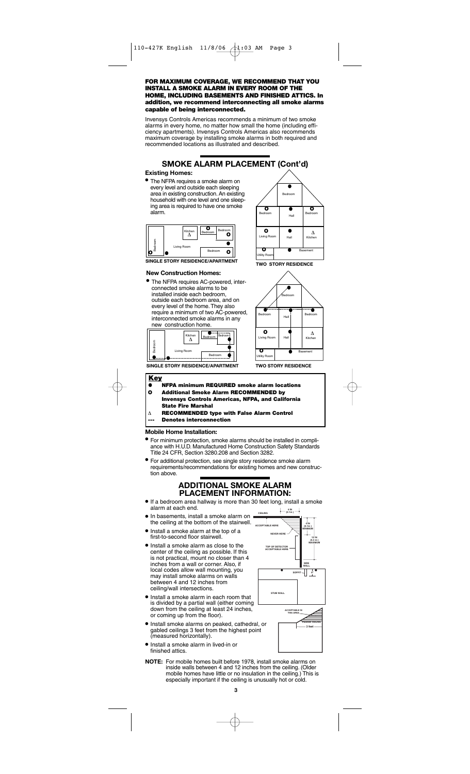#### **FOR MAXIMUM COVERAGE, WE RECOMMEND THAT YOU INSTALL A SMOKE ALARM IN EVERY ROOM OF THE HOME, INCLUDING BASEMENTS AND FINISHED ATTICS. In addition, we recommend interconnecting all smoke alarms capable of being interconnected.**

Invensys Controls Americas recommends a minimum of two smoke alarms in every home, no matter how small the home (including efficiency apartments). Invensys Controls Americas also recommends maximum coverage by installing smoke alarms in both required and recommended locations as illustrated and described.



#### **Existing Homes:**

• The NFPA requires a smoke alarm on every level and outside each sleeping<br>area in existing construction. An existing area in existing construction. An exist mousehold with one level and one sleeping area is required to have one smoke alarm.



**SINGLE STORY RESIDENCE/APARTMENT** 

#### **New Construction Homes:**

• The NFPA requires AC-powered, interconnected smoke alarms to be installed inside each bedroom, outside each bedroom area, and on every level of the home.They also require a minimum of two AC-powered, interconnected smoke alarms in any new construction home.



**SINGLE STORY RESIDENCE/APARTMENT** 



**TWO STORY RESIDENCE** 



**TWO STORY RESIDENCE** 



#### **Mobile Home Installation:**

- For minimum protection, smoke alarms should be installed in compliance with H.U.D. Manufactured Home Construction Safety Standards Title 24 CFR, Section 3280.208 and Section 3282.
- For additional protection, see single story residence smoke alarm requirements/recommendations for existing homes and new construction above.

# **ADDITIONAL SMOKE ALARM PLACEMENT INFORMATION:**

- If a bedroom area hallway is more than 30 feet long, install a smoke alarm at each end.
- In basements, install a smoke alarm on the ceiling at the bottom of the stairwell.
- Install a smoke alarm at the top of a first-to-second floor stairwell.
- Install a smoke alarm as close to the center of the ceiling as possible. If this is not practical, mount no closer than 4 inches from a wall or corner. Also, if local codes allow wall mounting, you may install smoke alarms on walls between 4 and 12 inches from ceiling/wall intersections.
- Install a smoke alarm in each room that is divided by a partial wall (either coming down from the ceiling at least 24 inches, or coming up from the floor).
- Install smoke alarms on peaked, cathedral, or gabled ceilings 3 feet from the highest point (measured horizontally).
- Install a smoke alarm in lived-in or finished attics.
- **NOTE:** For mobile homes built before 1978, install smoke alarms on inside walls between 4 and 12 inches from the ceiling. (Older mobile homes have little or no insulation in the ceiling.) This is especially important if the ceiling is unusually hot or cold.

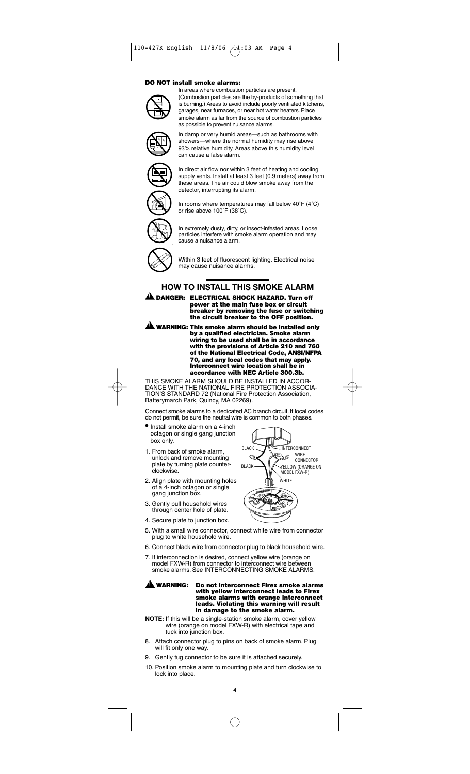#### **DO NOT install smoke alarms:**



In areas where combustion particles are present. (Combustion particles are the by-products of something that is burning.) Areas to avoid include poorly ventilated kitchens, garages, near furnaces, or near hot water heaters. Place smoke alarm as far from the source of combustion particles as possible to prevent nuisance alarms.

In damp or very humid areas—such as bathrooms with showers—where the normal humidity may rise above 93% relative humidity. Areas above this humidity level can cause a false alarm.



In direct air flow nor within 3 feet of heating and cooling supply vents. Install at least 3 feet (0.9 meters) away from these areas. The air could blow smoke away from the detector, interrupting its alarm.



In rooms where temperatures may fall below 40˚F (4˚C) or rise above 100˚F (38˚C).



In extremely dusty, dirty, or insect-infested areas. Loose particles interfere with smoke alarm operation and may cause a nuisance alarm.



!

Within 3 feet of fluorescent lighting. Electrical noise may cause nuisance alarms.

# **HOW TO INSTALL THIS SMOKE ALARM**

**DANGER: ELECTRICAL SHOCK HAZARD. Turn off power at the main fuse box or circuit breaker by removing the fuse or switching the circuit breaker to the OFF position.**

**WARNING: This smoke alarm should be installed only** ! **by a qualified electrician. Smoke alarm wiring to be used shall be in accordance with the provisions of Article 210 and 760 of the National Electrical Code, ANSI/NFPA 70, and any local codes that may apply. Interconnect wire location shall be in accordance with NEC Article 300.3b.**

THIS SMOKE ALARM SHOULD BE INSTALLED IN ACCOR-DANCE WITH THE NATIONAL FIRE PROTECTION ASSOCIA-TION'S STANDARD 72 (National Fire Protection Association, Batterymarch Park, Quincy, MA 02269).

Connect smoke alarms to a dedicated AC branch circuit. If local codes do not permit, be sure the neutral wire is common to both phases.

- Install smoke alarm on a 4-inch octagon or single gang junction box only.
- 1. From back of smoke alarm, unlock and remove mounting plate by turning plate counterclockwise.
- 2. Align plate with mounting holes of a 4-inch octagon or single gang junction box.
- 3. Gently pull household wires through center hole of plate.
- 4. Secure plate to junction box.



- 6. Connect black wire from connector plug to black household wire.
- 7. If interconnection is desired, connect yellow wire (orange on model FXW-R) from connector to interconnect wire between smoke alarms. See INTERCONNECTING SMOKE ALARMS.

# $\triangle$  WARNING:

**Do not interconnect Firex smoke alarms with yellow interconnect leads to Firex smoke alarms with orange interconnect leads. Violating this warning will result in damage to the smoke alarm.**

- **NOTE:** If this will be a single-station smoke alarm, cover yellow wire (orange on model FXW-R) with electrical tape and tuck into junction box.
- 8. Attach connector plug to pins on back of smoke alarm. Plug will fit only one way.
- 9. Gently tug connector to be sure it is attached securely.
- 10. Position smoke alarm to mounting plate and turn clockwise to lock into place.



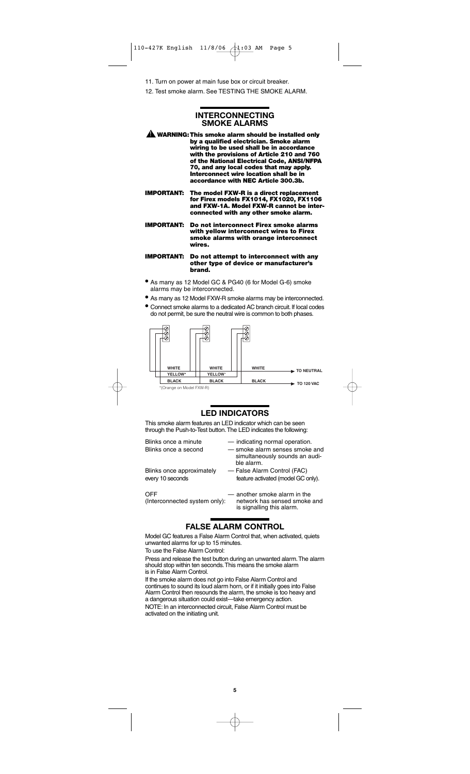11. Turn on power at main fuse box or circuit breaker.

12. Test smoke alarm. See TESTING THE SMOKE ALARM.

# **INTERCONNECTING SMOKE ALARMS**

**WARNING:This smoke alarm should be installed only by a qualified electrician. Smoke alarm wiring to be used shall be in accordance with the provisions of Article 210 and 760 of the National Electrical Code, ANSI/NFPA 70, and any local codes that may apply. Interconnect wire location shall be in accordance with NEC Article 300.3b.**  $\mathbf 1$ 

**IMPORTANT: The model FXW-R is a direct replacement for Firex models FX1014, FX1020, FX1106 and FXW-1A. Model FXW-R cannot be interconnected with any other smoke alarm.**

**IMPORTANT: Do not interconnect Firex smoke alarms with yellow interconnect wires to Firex smoke alarms with orange interconnect wires.**

**IMPORTANT: Do not attempt to interconnect with any other type of device or manufacturer's brand.**

- As many as 12 Model GC & PG40 (6 for Model G-6) smoke alarms may be interconnected.
- As many as 12 Model FXW-R smoke alarms may be interconnected.
- Connect smoke alarms to a dedicated AC branch circuit. If local codes do not permit, be sure the neutral wire is common to both phases.



# **LED INDICATORS**

This smoke alarm features an LED indicator which can be seen through the Push-to-Test button.The LED indicates the following:

Blinks once a minute — indicating normal operation.

- Blinks once a second smoke alarm senses smoke and simultaneously sounds an audible alarm.
- Blinks once approximately False Alarm Control (FAC) every 10 seconds feature activated (model GC only).

OFF — — another smoke alarm in the — another smoke alarm in the (Interconnected system only): — network has sensed smoke

network has sensed smoke and is signalling this alarm.

# **FALSE ALARM CONTROL**

Model GC features a False Alarm Control that, when activated, quiets unwanted alarms for up to 15 minutes.

To use the False Alarm Control:

Press and release the test button during an unwanted alarm.The alarm should stop within ten seconds.This means the smoke alarm is in False Alarm Control.

If the smoke alarm does not go into False Alarm Control and continues to sound its loud alarm horn, or if it initially goes into False Alarm Control then resounds the alarm, the smoke is too heavy and a dangerous situation could exist—take emergency action.

NOTE: In an interconnected circuit, False Alarm Control must be activated on the initiating unit.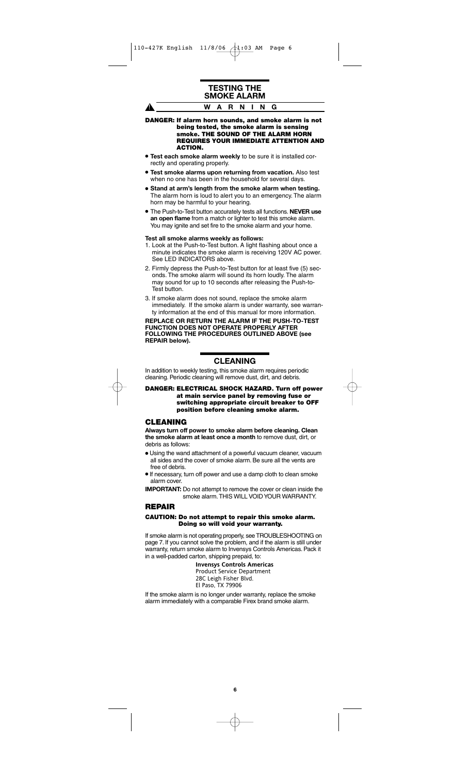A.

# **TESTING THE SMOKE ALARM WARNING**

**DANGER: If alarm horn sounds, and smoke alarm is not being tested, the smoke alarm is sensing smoke. THE SOUND OF THE ALARM HORN REQUIRES YOUR IMMEDIATE ATTENTION AND ACTION.**

- **Test each smoke alarm weekly** to be sure it is installed correctly and operating properly.
- **Test smoke alarms upon returning from vacation.** Also test when no one has been in the household for several days.
- **Stand at arm's length from the smoke alarm when testing.** The alarm horn is loud to alert you to an emergency. The alarm horn may be harmful to your hearing.
- The Push-to-Test button accurately tests all functions. **NEVER use an open flame** from a match or lighter to test this smoke alarm. You may ignite and set fire to the smoke alarm and your home.

#### **Test all smoke alarms weekly as follows:**

- 1. Look at the Push-to-Test button. A light flashing about once a minute indicates the smoke alarm is receiving 120V AC power. See LED INDICATORS above.
- 2. Firmly depress the Push-to-Test button for at least five (5) seconds. The smoke alarm will sound its horn loudly. The alarm may sound for up to 10 seconds after releasing the Push-to-Test button.
- 3. If smoke alarm does not sound, replace the smoke alarm immediately. If the smoke alarm is under warranty, see warranty information at the end of this manual for more information.

**REPLACE OR RETURN THE ALARM IF THE PUSH-TO-TEST FUNCTION DOES NOT OPERATE PROPERLY AFTER FOLLOWING THE PROCEDURES OUTLINED ABOVE (see REPAIR below).**

# **CLEANING**

In addition to weekly testing, this smoke alarm requires periodic cleaning. Periodic cleaning will remove dust, dirt, and debris.

**DANGER: ELECTRICAL SHOCK HAZARD. Turn off power at main service panel by removing fuse or switching appropriate circuit breaker to OFF position before cleaning smoke alarm.**

## **CLEANING**

**Always turn off power to smoke alarm before cleaning. Clean the smoke alarm at least once a month** to remove dust, dirt, or debris as follows:

- Using the wand attachment of a powerful vacuum cleaner, vacuum all sides and the cover of smoke alarm. Be sure all the vents are free of debris.
- •If necessary, turn off power and use a damp cloth to clean smoke alarm cover.
- **IMPORTANT:** Do not attempt to remove the cover or clean inside the smoke alarm.THIS WILL VOID YOUR WARRANTY.

# **REPAIR**

### **CAUTION: Do not attempt to repair this smoke alarm. Doing so will void your warranty.**

If smoke alarm is not operating properly, see TROUBLESHOOTING on page 7. If you cannot solve the problem, and if the alarm is still under warranty, return smoke alarm to Invensys Controls Americas. Pack it in a well-padded carton, shipping prepaid, to:

> **Invensys Controls Americas** Product Service Department 28C Leigh Fisher Blvd. El Paso, TX 79906

If the smoke alarm is no longer under warranty, replace the smoke alarm immediately with a comparable Firex brand smoke alarm.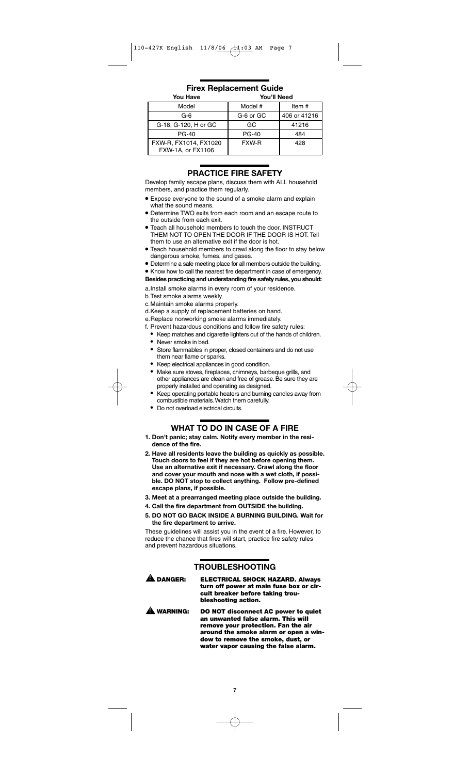**Firex Replacement Guide**

| <b>You Have</b>                            | <b>You'll Need</b> |              |
|--------------------------------------------|--------------------|--------------|
| Model                                      | Model #            | Item $#$     |
| G-6                                        | G-6 or GC          | 406 or 41216 |
| G-18, G-120, H or GC                       | GC                 | 41216        |
| $PG-40$                                    | <b>PG-40</b>       | 484          |
| FXW-R, FX1014, FX1020<br>FXW-1A, or FX1106 | FXW-R              | 428          |

# **PRACTICE FIRE SAFETY**

Develop family escape plans, discuss them with ALL household members, and practice them regularly.

- Expose everyone to the sound of a smoke alarm and explain what the sound means.
- Determine TWO exits from each room and an escape route to the outside from each exit.
- Teach all household members to touch the door. INSTRUCT THEM NOT TO OPEN THE DOOR IF THE DOOR IS HOT. Tell them to use an alternative exit if the door is hot.
- Teach household members to crawl along the floor to stay below dangerous smoke, fumes, and gases.
- Determine a safe meeting place for all members outside the building.

# • Know how to call the nearest fire department in case of emergency.

**Besides practicing and understanding fire safety rules, you should:**

- a.Install smoke alarms in every room of your residence.
- b.Test smoke alarms weekly.
- c.Maintain smoke alarms properly.
- d.Keep a supply of replacement batteries on hand.
- e.Replace nonworking smoke alarms immediately.
- f. Prevent hazardous conditions and follow fire safety rules:
	- Keep matches and cigarette lighters out of the hands of children.
	- Never smoke in bed.
	- Store flammables in proper, closed containers and do not use them near flame or sparks.
	- Keep electrical appliances in good condition.
	- Make sure stoves, fireplaces, chimneys, barbeque grills, and other appliances are clean and free of grease. Be sure they are properly installed and operating as designed.
	- Keep operating portable heaters and burning candles away from combustible materials.Watch them carefully.
	- Do not overload electrical circuits.

# **WHAT TO DO IN CASE OF A FIRE**

- **1. Don't panic; stay calm. Notify every member in the residence of the fire.**
- **2. Have all residents leave the building as quickly as possible. Touch doors to feel if they are hot before opening them. Use an alternative exit if necessary. Crawl along the floor and cover your mouth and nose with a wet cloth, if possible. DO NOT stop to collect anything. Follow pre-defined escape plans, if possible.**
- **3. Meet at a prearranged meeting place outside the building.**
- **4. Call the fire department from OUTSIDE the building.**
- **5. DO NOT GO BACK INSIDE A BURNING BUILDING. Wait for the fire department to arrive.**

These guidelines will assist you in the event of a fire. However, to reduce the chance that fires will start, practice fire safety rules and prevent hazardous situations.

# **TROUBLESHOOTING**

 $\blacktriangle$  DANGER:

- **ELECTRICAL SHOCK HAZARD. Always turn off power at main fuse box or circuit breaker before taking troubleshooting action.**
- **DO NOT disconnect AC power to quiet an unwanted false alarm. This will remove your protection. Fan the air around the smoke alarm or open a window to remove the smoke, dust, or water vapor causing the false alarm.**  $\mathbf{\mathbf{\Delta}}$  warning: